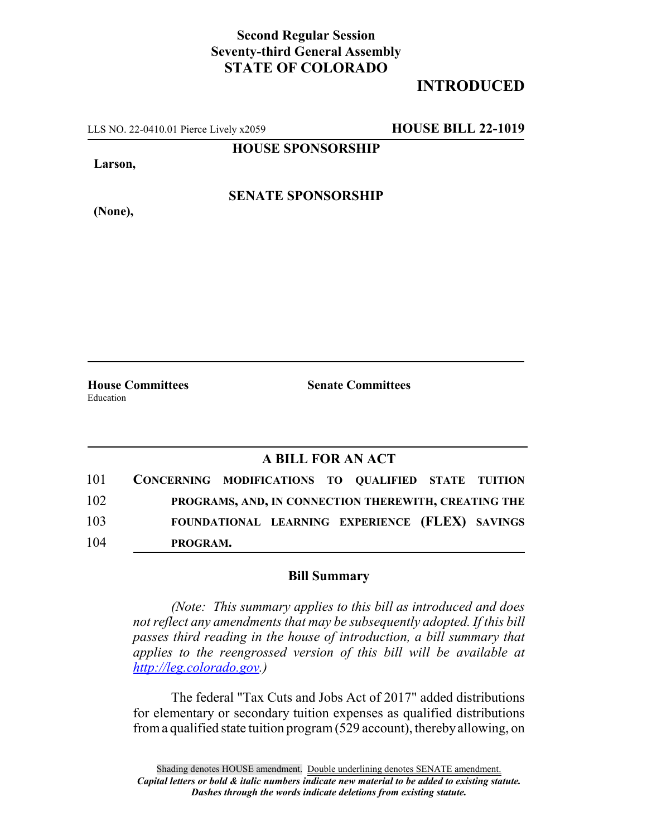### **Second Regular Session Seventy-third General Assembly STATE OF COLORADO**

# **INTRODUCED**

LLS NO. 22-0410.01 Pierce Lively x2059 **HOUSE BILL 22-1019**

**HOUSE SPONSORSHIP**

**Larson,**

**(None),**

**SENATE SPONSORSHIP**

**House Committees Senate Committees** Education

### **A BILL FOR AN ACT**

| 101 | CONCERNING MODIFICATIONS TO QUALIFIED STATE TUITION |  |                                                      |  |
|-----|-----------------------------------------------------|--|------------------------------------------------------|--|
| 102 |                                                     |  | PROGRAMS, AND, IN CONNECTION THEREWITH, CREATING THE |  |
| 103 |                                                     |  | FOUNDATIONAL LEARNING EXPERIENCE (FLEX) SAVINGS      |  |
| 104 | PROGRAM.                                            |  |                                                      |  |

#### **Bill Summary**

*(Note: This summary applies to this bill as introduced and does not reflect any amendments that may be subsequently adopted. If this bill passes third reading in the house of introduction, a bill summary that applies to the reengrossed version of this bill will be available at http://leg.colorado.gov.)*

The federal "Tax Cuts and Jobs Act of 2017" added distributions for elementary or secondary tuition expenses as qualified distributions from a qualified state tuition program (529 account), thereby allowing, on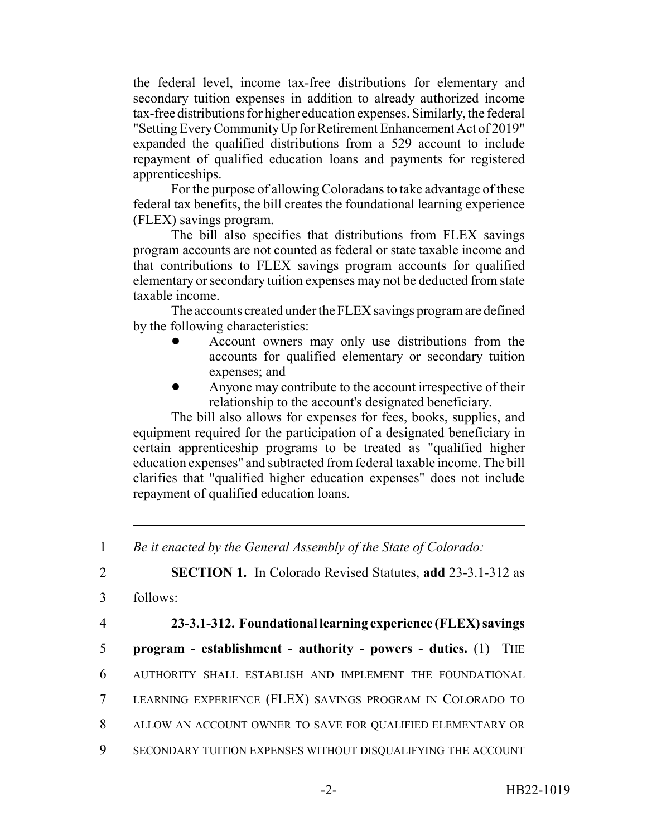the federal level, income tax-free distributions for elementary and secondary tuition expenses in addition to already authorized income tax-free distributions for higher education expenses. Similarly, the federal "Setting Every Community Up for Retirement Enhancement Act of 2019" expanded the qualified distributions from a 529 account to include repayment of qualified education loans and payments for registered apprenticeships.

For the purpose of allowing Coloradans to take advantage of these federal tax benefits, the bill creates the foundational learning experience (FLEX) savings program.

The bill also specifies that distributions from FLEX savings program accounts are not counted as federal or state taxable income and that contributions to FLEX savings program accounts for qualified elementary or secondary tuition expenses may not be deducted from state taxable income.

The accounts created under the FLEX savings program are defined by the following characteristics:

- ! Account owners may only use distributions from the accounts for qualified elementary or secondary tuition expenses; and
- ! Anyone may contribute to the account irrespective of their relationship to the account's designated beneficiary.

The bill also allows for expenses for fees, books, supplies, and equipment required for the participation of a designated beneficiary in certain apprenticeship programs to be treated as "qualified higher education expenses" and subtracted from federal taxable income. The bill clarifies that "qualified higher education expenses" does not include repayment of qualified education loans.

- 3 follows:
- 

# 4 **23-3.1-312. Foundational learning experience (FLEX) savings**

- 5 **program establishment authority powers duties.** (1) THE
- 6 AUTHORITY SHALL ESTABLISH AND IMPLEMENT THE FOUNDATIONAL
- 7 LEARNING EXPERIENCE (FLEX) SAVINGS PROGRAM IN COLORADO TO
- 8 ALLOW AN ACCOUNT OWNER TO SAVE FOR QUALIFIED ELEMENTARY OR
- 9 SECONDARY TUITION EXPENSES WITHOUT DISQUALIFYING THE ACCOUNT

<sup>1</sup> *Be it enacted by the General Assembly of the State of Colorado:*

<sup>2</sup> **SECTION 1.** In Colorado Revised Statutes, **add** 23-3.1-312 as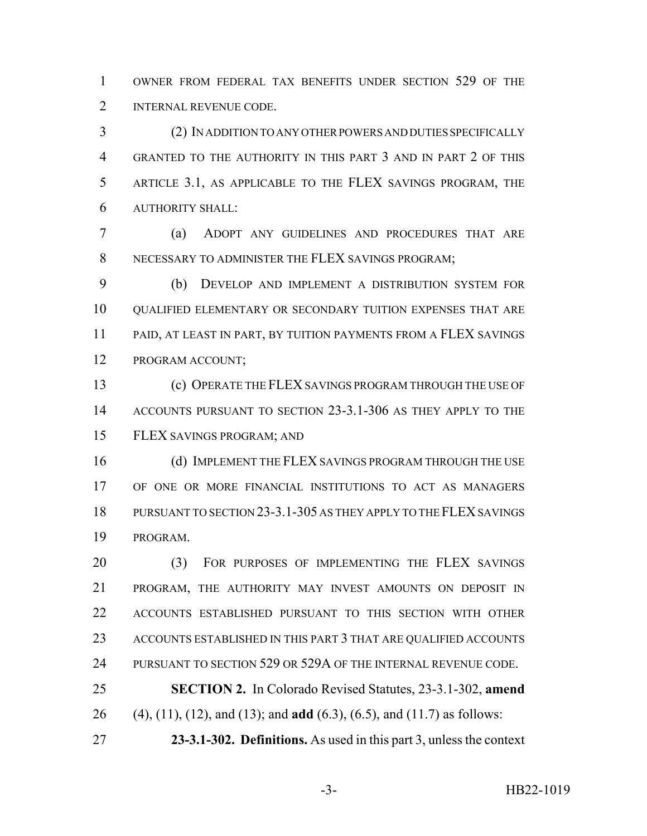OWNER FROM FEDERAL TAX BENEFITS UNDER SECTION 529 OF THE INTERNAL REVENUE CODE.

 (2) IN ADDITION TO ANY OTHER POWERS AND DUTIES SPECIFICALLY GRANTED TO THE AUTHORITY IN THIS PART 3 AND IN PART 2 OF THIS ARTICLE 3.1, AS APPLICABLE TO THE FLEX SAVINGS PROGRAM, THE AUTHORITY SHALL:

 (a) ADOPT ANY GUIDELINES AND PROCEDURES THAT ARE NECESSARY TO ADMINISTER THE FLEX SAVINGS PROGRAM;

 (b) DEVELOP AND IMPLEMENT A DISTRIBUTION SYSTEM FOR QUALIFIED ELEMENTARY OR SECONDARY TUITION EXPENSES THAT ARE PAID, AT LEAST IN PART, BY TUITION PAYMENTS FROM A FLEX SAVINGS PROGRAM ACCOUNT;

 (c) OPERATE THE FLEX SAVINGS PROGRAM THROUGH THE USE OF ACCOUNTS PURSUANT TO SECTION 23-3.1-306 AS THEY APPLY TO THE FLEX SAVINGS PROGRAM; AND

16 (d) IMPLEMENT THE FLEX SAVINGS PROGRAM THROUGH THE USE OF ONE OR MORE FINANCIAL INSTITUTIONS TO ACT AS MANAGERS PURSUANT TO SECTION 23-3.1-305 AS THEY APPLY TO THE FLEX SAVINGS PROGRAM.

 (3) FOR PURPOSES OF IMPLEMENTING THE FLEX SAVINGS PROGRAM, THE AUTHORITY MAY INVEST AMOUNTS ON DEPOSIT IN ACCOUNTS ESTABLISHED PURSUANT TO THIS SECTION WITH OTHER ACCOUNTS ESTABLISHED IN THIS PART 3 THAT ARE QUALIFIED ACCOUNTS PURSUANT TO SECTION 529 OR 529A OF THE INTERNAL REVENUE CODE.

 **SECTION 2.** In Colorado Revised Statutes, 23-3.1-302, **amend** (4), (11), (12), and (13); and **add** (6.3), (6.5), and (11.7) as follows:

**23-3.1-302. Definitions.** As used in this part 3, unless the context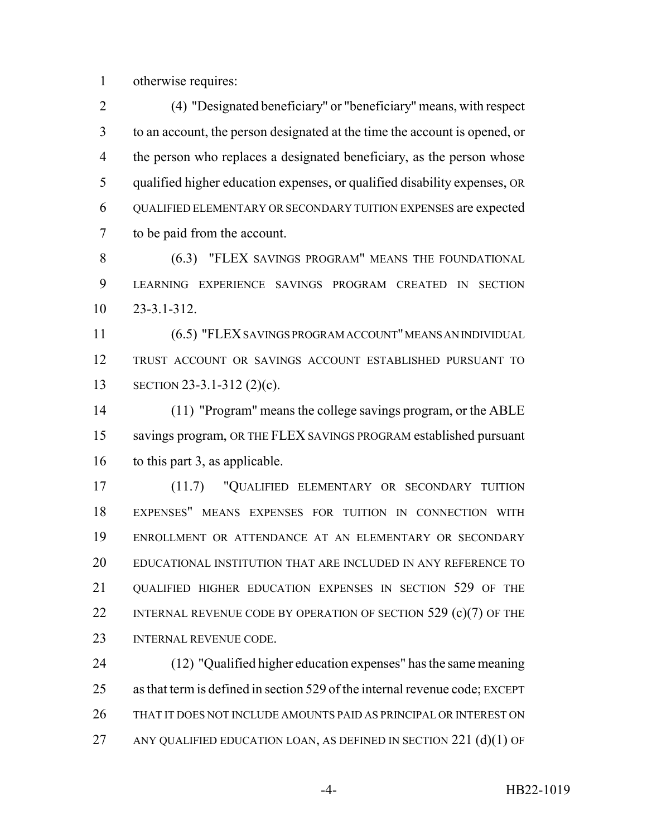otherwise requires:

 (4) "Designated beneficiary" or "beneficiary" means, with respect to an account, the person designated at the time the account is opened, or the person who replaces a designated beneficiary, as the person whose 5 qualified higher education expenses,  $\sigma$ r qualified disability expenses, OR QUALIFIED ELEMENTARY OR SECONDARY TUITION EXPENSES are expected to be paid from the account.

8 (6.3) "FLEX SAVINGS PROGRAM" MEANS THE FOUNDATIONAL LEARNING EXPERIENCE SAVINGS PROGRAM CREATED IN SECTION 23-3.1-312.

 (6.5) "FLEX SAVINGS PROGRAM ACCOUNT" MEANS AN INDIVIDUAL TRUST ACCOUNT OR SAVINGS ACCOUNT ESTABLISHED PURSUANT TO SECTION 23-3.1-312 (2)(c).

14 (11) "Program" means the college savings program, or the ABLE savings program, OR THE FLEX SAVINGS PROGRAM established pursuant to this part 3, as applicable.

 (11.7) "QUALIFIED ELEMENTARY OR SECONDARY TUITION EXPENSES" MEANS EXPENSES FOR TUITION IN CONNECTION WITH ENROLLMENT OR ATTENDANCE AT AN ELEMENTARY OR SECONDARY EDUCATIONAL INSTITUTION THAT ARE INCLUDED IN ANY REFERENCE TO QUALIFIED HIGHER EDUCATION EXPENSES IN SECTION 529 OF THE 22 INTERNAL REVENUE CODE BY OPERATION OF SECTION 529 (c)(7) OF THE 23 INTERNAL REVENUE CODE.

 (12) "Qualified higher education expenses" has the same meaning as that term is defined in section 529 of the internal revenue code; EXCEPT 26 THAT IT DOES NOT INCLUDE AMOUNTS PAID AS PRINCIPAL OR INTEREST ON 27 ANY QUALIFIED EDUCATION LOAN, AS DEFINED IN SECTION 221 (d)(1) OF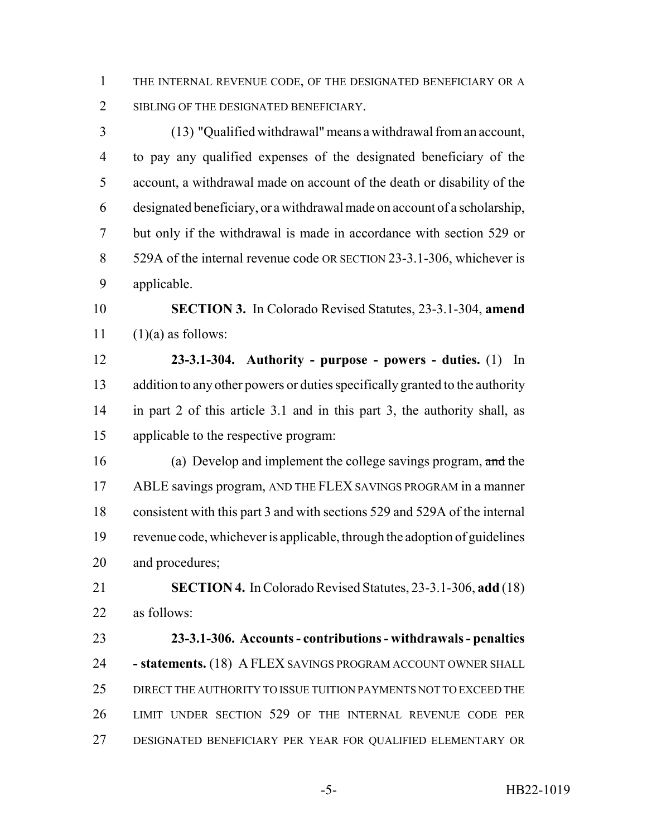THE INTERNAL REVENUE CODE, OF THE DESIGNATED BENEFICIARY OR A 2 SIBLING OF THE DESIGNATED BENEFICIARY.

 (13) "Qualified withdrawal" means a withdrawal from an account, to pay any qualified expenses of the designated beneficiary of the account, a withdrawal made on account of the death or disability of the designated beneficiary, or a withdrawal made on account of a scholarship, but only if the withdrawal is made in accordance with section 529 or 529A of the internal revenue code OR SECTION 23-3.1-306, whichever is applicable.

 **SECTION 3.** In Colorado Revised Statutes, 23-3.1-304, **amend** (1)(a) as follows:

 **23-3.1-304. Authority - purpose - powers - duties.** (1) In addition to any other powers or duties specifically granted to the authority in part 2 of this article 3.1 and in this part 3, the authority shall, as applicable to the respective program:

 (a) Develop and implement the college savings program, and the ABLE savings program, AND THE FLEX SAVINGS PROGRAM in a manner consistent with this part 3 and with sections 529 and 529A of the internal revenue code, whichever is applicable, through the adoption of guidelines and procedures;

 **SECTION 4.** In Colorado Revised Statutes, 23-3.1-306, **add** (18) as follows:

 **23-3.1-306. Accounts - contributions - withdrawals - penalties - statements.** (18) A FLEX SAVINGS PROGRAM ACCOUNT OWNER SHALL DIRECT THE AUTHORITY TO ISSUE TUITION PAYMENTS NOT TO EXCEED THE LIMIT UNDER SECTION 529 OF THE INTERNAL REVENUE CODE PER DESIGNATED BENEFICIARY PER YEAR FOR QUALIFIED ELEMENTARY OR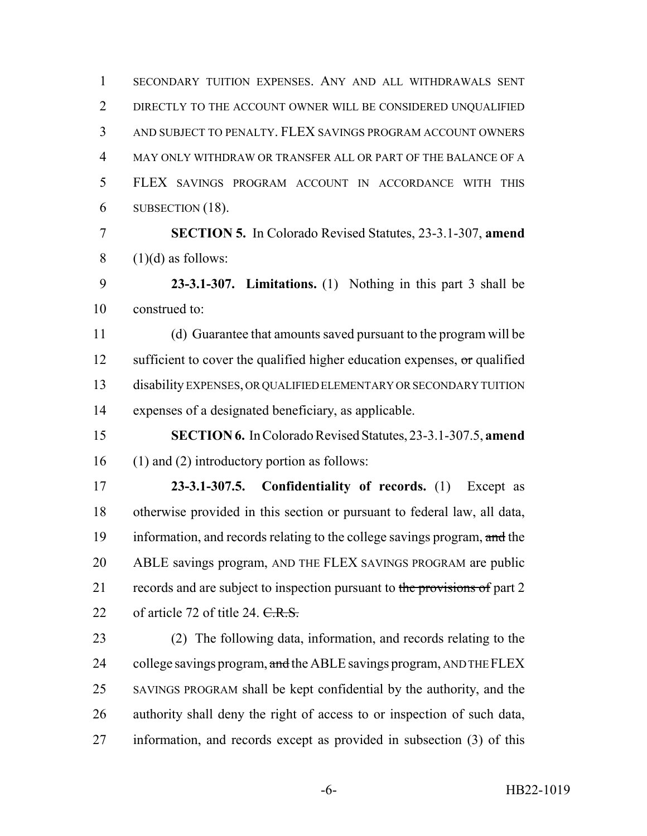SECONDARY TUITION EXPENSES. ANY AND ALL WITHDRAWALS SENT 2 DIRECTLY TO THE ACCOUNT OWNER WILL BE CONSIDERED UNQUALIFIED AND SUBJECT TO PENALTY. FLEX SAVINGS PROGRAM ACCOUNT OWNERS MAY ONLY WITHDRAW OR TRANSFER ALL OR PART OF THE BALANCE OF A FLEX SAVINGS PROGRAM ACCOUNT IN ACCORDANCE WITH THIS SUBSECTION (18). **SECTION 5.** In Colorado Revised Statutes, 23-3.1-307, **amend** (1)(d) as follows: **23-3.1-307. Limitations.** (1) Nothing in this part 3 shall be construed to: (d) Guarantee that amounts saved pursuant to the program will be 12 sufficient to cover the qualified higher education expenses,  $\sigma$  qualified disability EXPENSES, OR QUALIFIED ELEMENTARY OR SECONDARY TUITION expenses of a designated beneficiary, as applicable. **SECTION 6.** In Colorado Revised Statutes, 23-3.1-307.5, **amend** (1) and (2) introductory portion as follows: **23-3.1-307.5. Confidentiality of records.** (1) Except as otherwise provided in this section or pursuant to federal law, all data, 19 information, and records relating to the college savings program, and the ABLE savings program, AND THE FLEX SAVINGS PROGRAM are public 21 records and are subject to inspection pursuant to the provisions of part 2 22 of article 72 of title 24.  $C.R.S.$  (2) The following data, information, and records relating to the 24 college savings program, and the ABLE savings program, AND THE FLEX SAVINGS PROGRAM shall be kept confidential by the authority, and the authority shall deny the right of access to or inspection of such data, information, and records except as provided in subsection (3) of this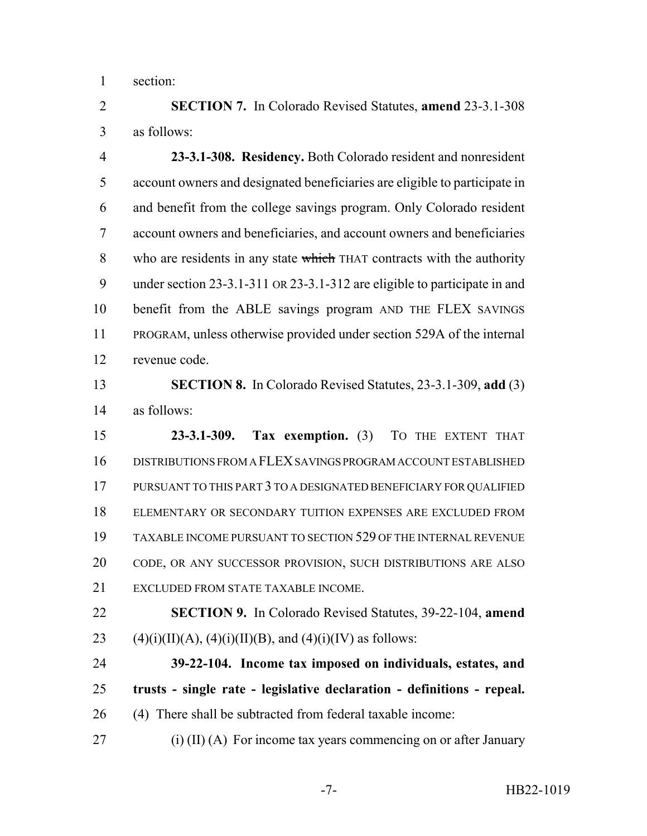section:

 **SECTION 7.** In Colorado Revised Statutes, **amend** 23-3.1-308 as follows:

 **23-3.1-308. Residency.** Both Colorado resident and nonresident account owners and designated beneficiaries are eligible to participate in and benefit from the college savings program. Only Colorado resident account owners and beneficiaries, and account owners and beneficiaries 8 who are residents in any state which THAT contracts with the authority under section 23-3.1-311 OR 23-3.1-312 are eligible to participate in and benefit from the ABLE savings program AND THE FLEX SAVINGS PROGRAM, unless otherwise provided under section 529A of the internal revenue code.

 **SECTION 8.** In Colorado Revised Statutes, 23-3.1-309, **add** (3) as follows:

 **23-3.1-309. Tax exemption.** (3) TO THE EXTENT THAT DISTRIBUTIONS FROM A FLEX SAVINGS PROGRAM ACCOUNT ESTABLISHED PURSUANT TO THIS PART 3 TO A DESIGNATED BENEFICIARY FOR QUALIFIED ELEMENTARY OR SECONDARY TUITION EXPENSES ARE EXCLUDED FROM TAXABLE INCOME PURSUANT TO SECTION 529 OF THE INTERNAL REVENUE CODE, OR ANY SUCCESSOR PROVISION, SUCH DISTRIBUTIONS ARE ALSO EXCLUDED FROM STATE TAXABLE INCOME.

 **SECTION 9.** In Colorado Revised Statutes, 39-22-104, **amend** 23 (4)(i)(II)(A), (4)(i)(II)(B), and (4)(i)(IV) as follows:

 **39-22-104. Income tax imposed on individuals, estates, and trusts - single rate - legislative declaration - definitions - repeal.** (4) There shall be subtracted from federal taxable income:

27 (i) (II) (A) For income tax years commencing on or after January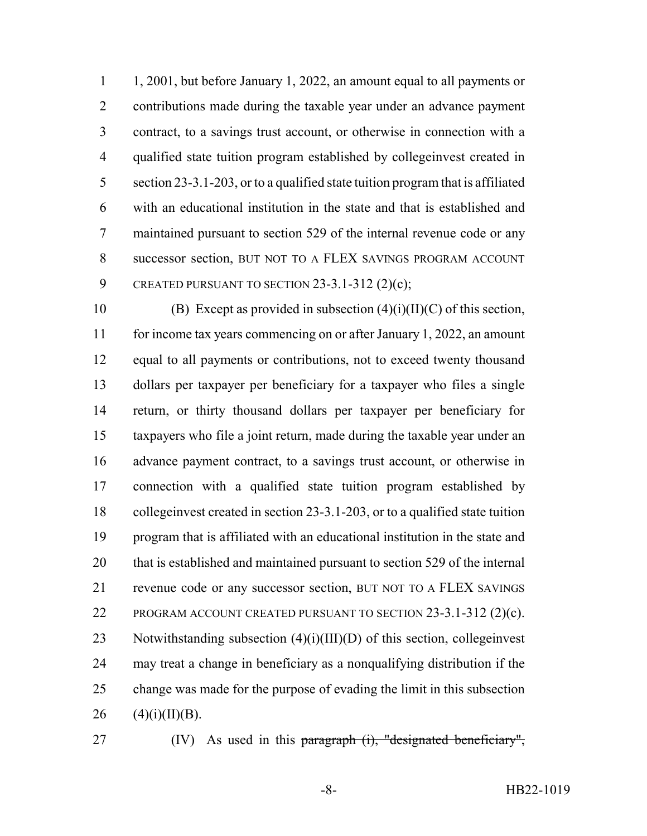1, 2001, but before January 1, 2022, an amount equal to all payments or contributions made during the taxable year under an advance payment contract, to a savings trust account, or otherwise in connection with a qualified state tuition program established by collegeinvest created in section 23-3.1-203, or to a qualified state tuition program that is affiliated with an educational institution in the state and that is established and maintained pursuant to section 529 of the internal revenue code or any successor section, BUT NOT TO A FLEX SAVINGS PROGRAM ACCOUNT 9 CREATED PURSUANT TO SECTION 23-3.1-312 (2)(c);

10 (B) Except as provided in subsection  $(4)(i)(II)(C)$  of this section, 11 for income tax years commencing on or after January 1, 2022, an amount equal to all payments or contributions, not to exceed twenty thousand dollars per taxpayer per beneficiary for a taxpayer who files a single return, or thirty thousand dollars per taxpayer per beneficiary for taxpayers who file a joint return, made during the taxable year under an advance payment contract, to a savings trust account, or otherwise in connection with a qualified state tuition program established by collegeinvest created in section 23-3.1-203, or to a qualified state tuition program that is affiliated with an educational institution in the state and that is established and maintained pursuant to section 529 of the internal revenue code or any successor section, BUT NOT TO A FLEX SAVINGS PROGRAM ACCOUNT CREATED PURSUANT TO SECTION 23-3.1-312 (2)(c). 23 Notwithstanding subsection  $(4)(i)(III)(D)$  of this section, collegeinvest may treat a change in beneficiary as a nonqualifying distribution if the change was made for the purpose of evading the limit in this subsection  $(4)(i)(II)(B)$ .



27 (IV) As used in this paragraph (i), "designated beneficiary",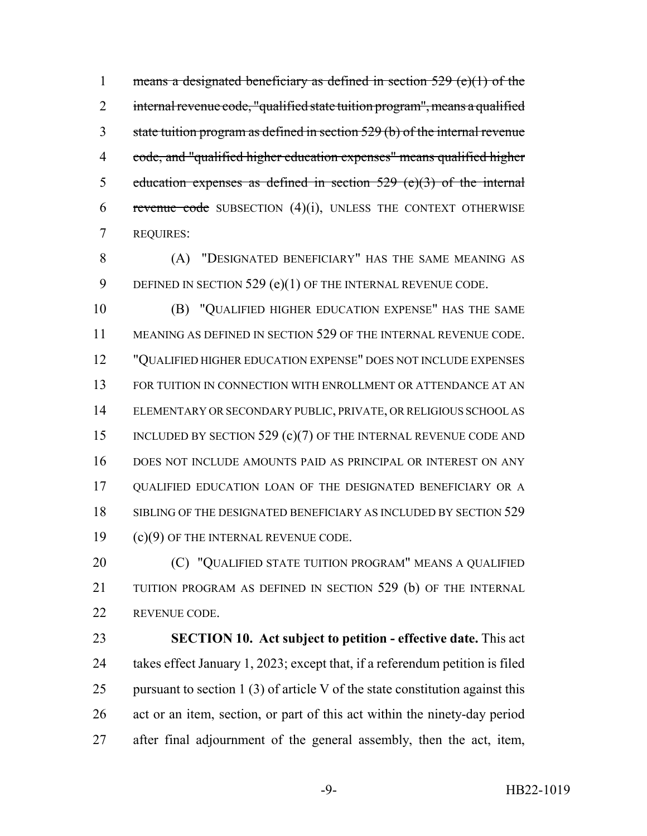1 means a designated beneficiary as defined in section (e)(1) of the 2 internal revenue code, "qualified state tuition program", means a qualified state tuition program as defined in section 529 (b) of the internal revenue code, and "qualified higher education expenses" means qualified higher 5 education expenses as defined in section (e)(3) of the internal 6 revenue code SUBSECTION  $(4)(i)$ , UNLESS THE CONTEXT OTHERWISE REQUIRES:

 (A) "DESIGNATED BENEFICIARY" HAS THE SAME MEANING AS 9 DEFINED IN SECTION 529 (e)(1) OF THE INTERNAL REVENUE CODE.

 (B) "QUALIFIED HIGHER EDUCATION EXPENSE" HAS THE SAME MEANING AS DEFINED IN SECTION 529 OF THE INTERNAL REVENUE CODE. "QUALIFIED HIGHER EDUCATION EXPENSE" DOES NOT INCLUDE EXPENSES FOR TUITION IN CONNECTION WITH ENROLLMENT OR ATTENDANCE AT AN ELEMENTARY OR SECONDARY PUBLIC, PRIVATE, OR RELIGIOUS SCHOOL AS 15 INCLUDED BY SECTION 529 (c)(7) OF THE INTERNAL REVENUE CODE AND DOES NOT INCLUDE AMOUNTS PAID AS PRINCIPAL OR INTEREST ON ANY QUALIFIED EDUCATION LOAN OF THE DESIGNATED BENEFICIARY OR A 18 SIBLING OF THE DESIGNATED BENEFICIARY AS INCLUDED BY SECTION 529 (c)(9) OF THE INTERNAL REVENUE CODE.

**(C) "QUALIFIED STATE TUITION PROGRAM" MEANS A QUALIFIED** 21 TUITION PROGRAM AS DEFINED IN SECTION 529 (b) OF THE INTERNAL REVENUE CODE.

 **SECTION 10. Act subject to petition - effective date.** This act takes effect January 1, 2023; except that, if a referendum petition is filed 25 pursuant to section 1 (3) of article V of the state constitution against this act or an item, section, or part of this act within the ninety-day period after final adjournment of the general assembly, then the act, item,